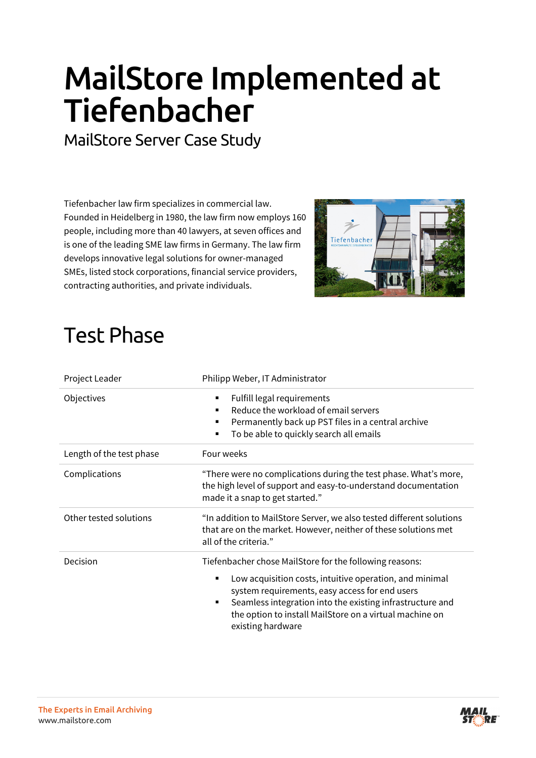## **MailStore Implemented at Tiefenbacher**

MailStore Server Case Study

Tiefenbacher law firm specializes in commercial law. Founded in Heidelberg in 1980, the law firm now employs 160 people, including more than 40 lawyers, at seven offices and is one of the leading SME law firms in Germany. The law firm develops innovative legal solutions for owner-managed SMEs, listed stock corporations, financial service providers, contracting authorities, and private individuals.



## Test Phase

| Project Leader           | Philipp Weber, IT Administrator                                                                                                                                                                                                                                                                                             |
|--------------------------|-----------------------------------------------------------------------------------------------------------------------------------------------------------------------------------------------------------------------------------------------------------------------------------------------------------------------------|
| Objectives               | Fulfill legal requirements<br>٠<br>Reduce the workload of email servers<br>٠<br>Permanently back up PST files in a central archive<br>٠<br>To be able to quickly search all emails<br>٠                                                                                                                                     |
| Length of the test phase | Four weeks                                                                                                                                                                                                                                                                                                                  |
| Complications            | "There were no complications during the test phase. What's more,<br>the high level of support and easy-to-understand documentation<br>made it a snap to get started."                                                                                                                                                       |
| Other tested solutions   | "In addition to MailStore Server, we also tested different solutions<br>that are on the market. However, neither of these solutions met<br>all of the criteria."                                                                                                                                                            |
| <b>Decision</b>          | Tiefenbacher chose MailStore for the following reasons:<br>Low acquisition costs, intuitive operation, and minimal<br>٠<br>system requirements, easy access for end users<br>Seamless integration into the existing infrastructure and<br>٠<br>the option to install MailStore on a virtual machine on<br>existing hardware |